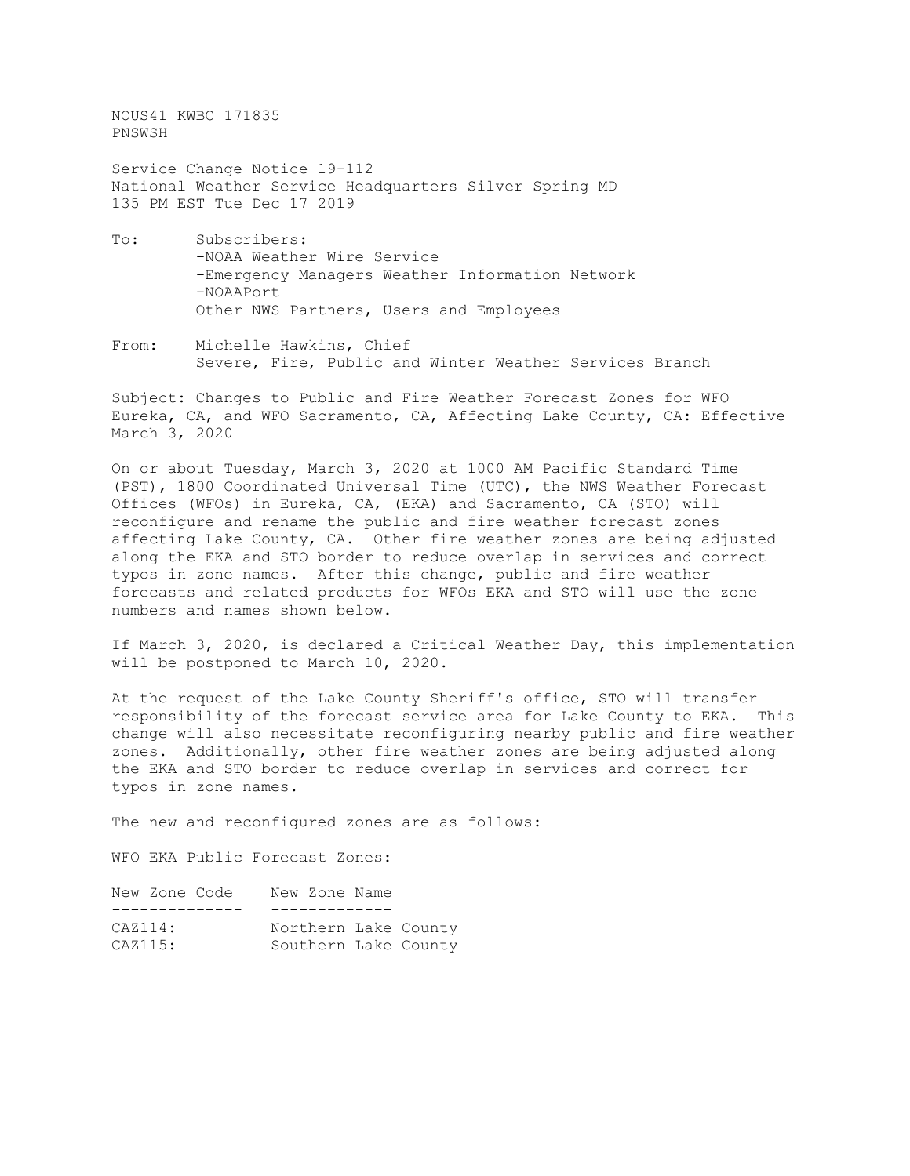NOUS41 KWBC 171835 PNSWSH

Service Change Notice 19-112 National Weather Service Headquarters Silver Spring MD 135 PM EST Tue Dec 17 2019

- To: Subscribers: -NOAA Weather Wire Service -Emergency Managers Weather Information Network -NOAAPort Other NWS Partners, Users and Employees
- From: Michelle Hawkins, Chief Severe, Fire, Public and Winter Weather Services Branch

Subject: Changes to Public and Fire Weather Forecast Zones for WFO Eureka, CA, and WFO Sacramento, CA, Affecting Lake County, CA: Effective March 3, 2020

On or about Tuesday, March 3, 2020 at 1000 AM Pacific Standard Time (PST), 1800 Coordinated Universal Time (UTC), the NWS Weather Forecast Offices (WFOs) in Eureka, CA, (EKA) and Sacramento, CA (STO) will reconfigure and rename the public and fire weather forecast zones affecting Lake County, CA. Other fire weather zones are being adjusted along the EKA and STO border to reduce overlap in services and correct typos in zone names. After this change, public and fire weather forecasts and related products for WFOs EKA and STO will use the zone numbers and names shown below.

If March 3, 2020, is declared a Critical Weather Day, this implementation will be postponed to March 10, 2020.

At the request of the Lake County Sheriff's office, STO will transfer responsibility of the forecast service area for Lake County to EKA. This change will also necessitate reconfiguring nearby public and fire weather zones. Additionally, other fire weather zones are being adjusted along the EKA and STO border to reduce overlap in services and correct for typos in zone names.

The new and reconfigured zones are as follows:

WFO EKA Public Forecast Zones:

| CAZ114: |               |  |                                                               |
|---------|---------------|--|---------------------------------------------------------------|
| CAZ115: |               |  |                                                               |
|         | New Zone Code |  | New Zone Name<br>Northern Lake County<br>Southern Lake County |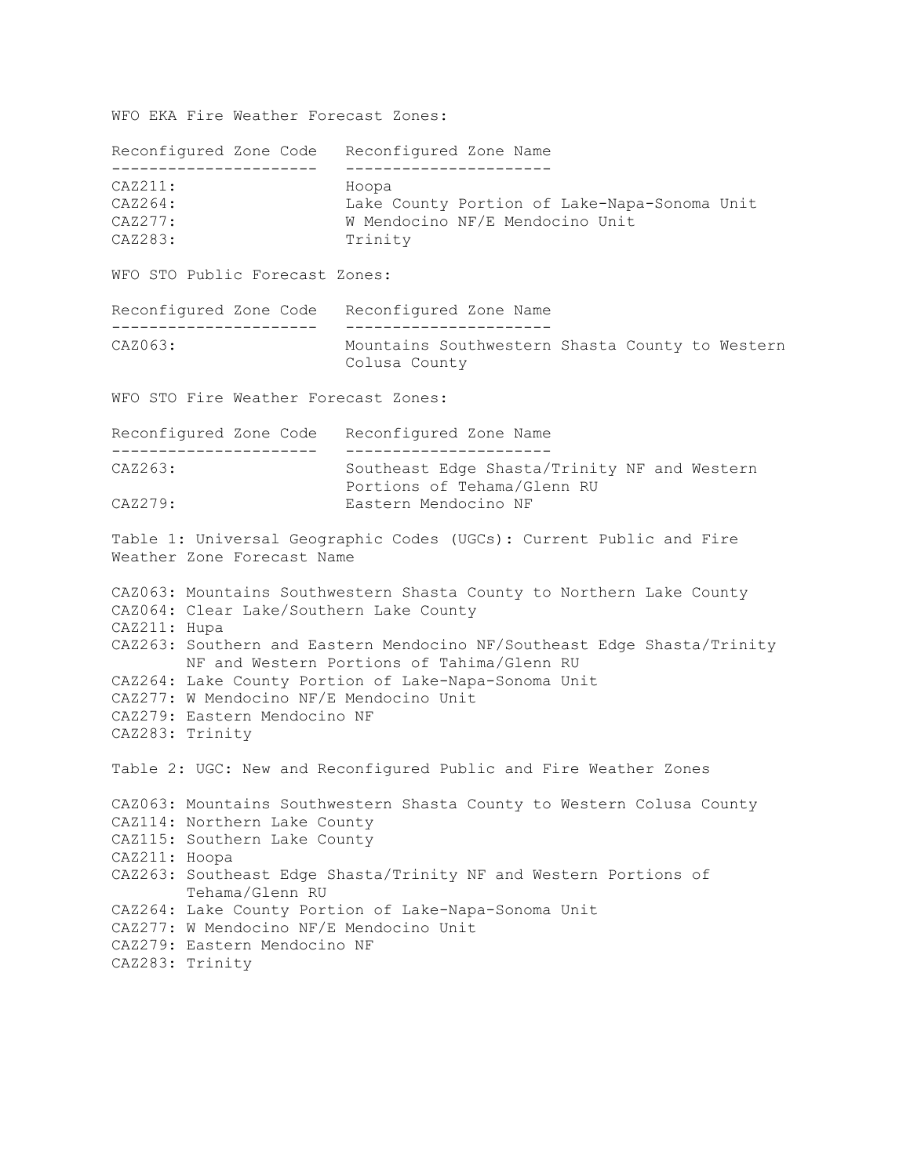WFO EKA Fire Weather Forecast Zones:

Reconfigured Zone Code Reconfigured Zone Name ---------------------- ---------------------- CAZ211:<br>CAZ264: CAZ264: Lake County Portion of Lake-Napa-Sonoma Unit<br>CAZ277: W Mendocino NF/E Mendocino Unit W Mendocino NF/E Mendocino Unit CAZ283: Trinity WFO STO Public Forecast Zones: Reconfigured Zone Code Reconfigured Zone Name ---------------------- ---------------------- Mountains Southwestern Shasta County to Western Colusa County WFO STO Fire Weather Forecast Zones: Reconfigured Zone Code Reconfigured Zone Name ---------------------- ---------------------- CAZ263: Southeast Edge Shasta/Trinity NF and Western Portions of Tehama/Glenn RU<br>CAZ279: Eastern Mendocino NF Eastern Mendocino NF Table 1: Universal Geographic Codes (UGCs): Current Public and Fire Weather Zone Forecast Name CAZ063: Mountains Southwestern Shasta County to Northern Lake County CAZ064: Clear Lake/Southern Lake County CAZ211: Hupa CAZ263: Southern and Eastern Mendocino NF/Southeast Edge Shasta/Trinity NF and Western Portions of Tahima/Glenn RU CAZ264: Lake County Portion of Lake-Napa-Sonoma Unit CAZ277: W Mendocino NF/E Mendocino Unit CAZ279: Eastern Mendocino NF CAZ283: Trinity Table 2: UGC: New and Reconfigured Public and Fire Weather Zones CAZ063: Mountains Southwestern Shasta County to Western Colusa County CAZ114: Northern Lake County CAZ115: Southern Lake County CAZ211: Hoopa CAZ263: Southeast Edge Shasta/Trinity NF and Western Portions of Tehama/Glenn RU CAZ264: Lake County Portion of Lake-Napa-Sonoma Unit CAZ277: W Mendocino NF/E Mendocino Unit CAZ279: Eastern Mendocino NF CAZ283: Trinity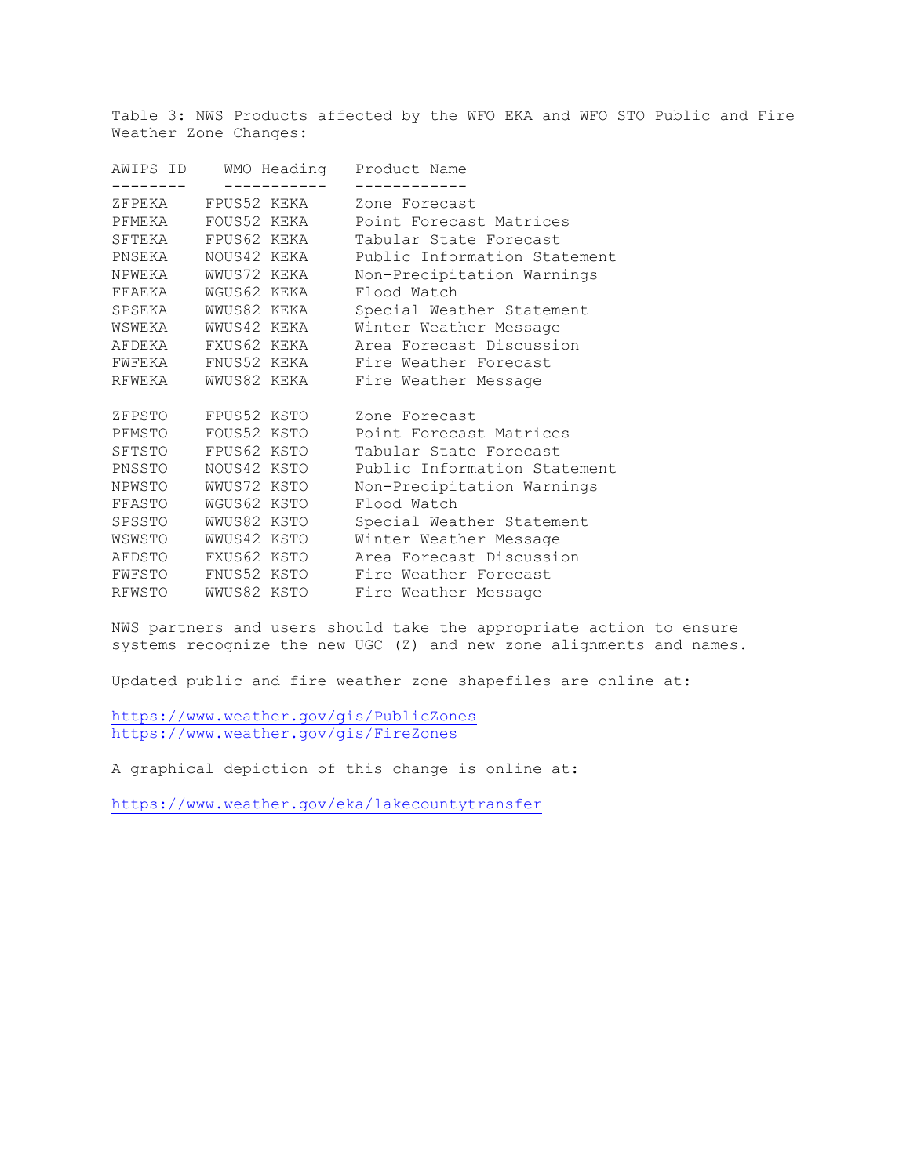Table 3: NWS Products affected by the WFO EKA and WFO STO Public and Fire Weather Zone Changes:

| AWIPS ID WMO Heading Product Name |                                                                                                                                                                                           |  |  |
|-----------------------------------|-------------------------------------------------------------------------------------------------------------------------------------------------------------------------------------------|--|--|
|                                   | Zone Forecast                                                                                                                                                                             |  |  |
|                                   | Point Forecast Matrices                                                                                                                                                                   |  |  |
|                                   | Tabular State Forecast                                                                                                                                                                    |  |  |
| PNSEKA NOUS42 KEKA                | Public Information Statement                                                                                                                                                              |  |  |
| NPWEKA WWUS72 KEKA                | Non-Precipitation Warnings                                                                                                                                                                |  |  |
| FFAEKA WGUS62 KEKA                | Flood Watch                                                                                                                                                                               |  |  |
| SPSEKA WWUS82 KEKA                | Special Weather Statement                                                                                                                                                                 |  |  |
| WSWEKA WWUS42 KEKA                | Winter Weather Message                                                                                                                                                                    |  |  |
| AFDEKA FXUS62 KEKA                | Area Forecast Discussion                                                                                                                                                                  |  |  |
| FWFEKA FNUS52 KEKA                | Fire Weather Forecast                                                                                                                                                                     |  |  |
|                                   | RFWEKA WWUS82 KEKA Fire Weather Message                                                                                                                                                   |  |  |
|                                   | Zone Forecast                                                                                                                                                                             |  |  |
|                                   | Point Forecast Matrices                                                                                                                                                                   |  |  |
|                                   | Tabular State Forecast                                                                                                                                                                    |  |  |
|                                   | Public Information Statement                                                                                                                                                              |  |  |
|                                   | Non-Precipitation Warnings                                                                                                                                                                |  |  |
| FFASTO WGUS62 KSTO                | Flood Watch                                                                                                                                                                               |  |  |
| SPSSTO WWUS82 KSTO                | Special Weather Statement                                                                                                                                                                 |  |  |
| WSWSTO WWUS42 KSTO                | Winter Weather Message                                                                                                                                                                    |  |  |
| AFDSTO FXUS62 KSTO                | Area Forecast Discussion                                                                                                                                                                  |  |  |
| FWFSTO FNUS52 KSTO                | Fire Weather Forecast                                                                                                                                                                     |  |  |
| RFWSTO WWUS82 KSTO                | Fire Weather Message                                                                                                                                                                      |  |  |
|                                   | ---------<br>ZFPEKA FPUS52 KEKA<br>PFMEKA FOUS52 KEKA<br>SFTEKA FPUS62 KEKA<br>ZFPSTO FPUS52 KSTO<br>PFMSTO FOUS52 KSTO<br>SFTSTO FPUS62 KSTO<br>PNSSTO NOUS42 KSTO<br>NPWSTO WWUS72 KSTO |  |  |

NWS partners and users should take the appropriate action to ensure systems recognize the new UGC (Z) and new zone alignments and names.

Updated public and fire weather zone shapefiles are online at:

<https://www.weather.gov/gis/PublicZones> <https://www.weather.gov/gis/FireZones>

A graphical depiction of this change is online at:

<https://www.weather.gov/eka/lakecountytransfer>